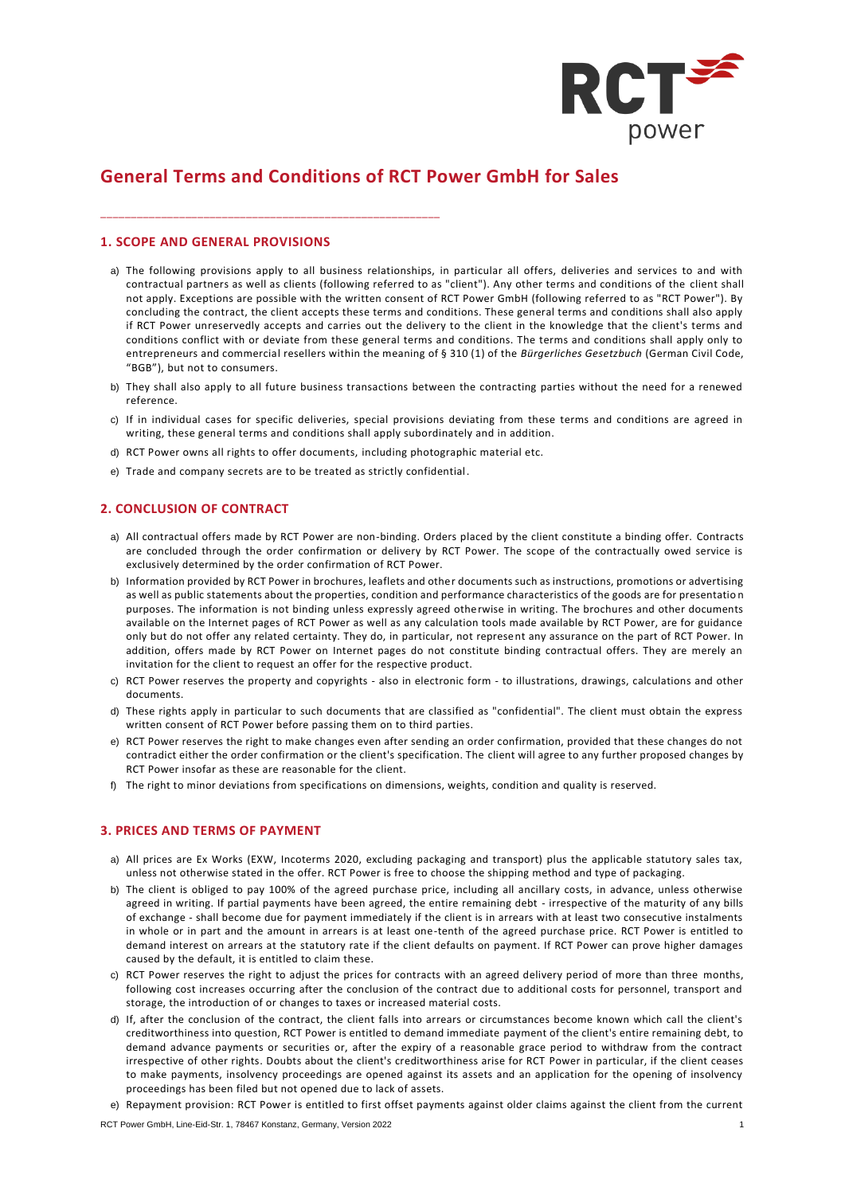

# **General Terms and Conditions of RCT Power GmbH for Sales**

## **1. SCOPE AND GENERAL PROVISIONS**

\_\_\_\_\_\_\_\_\_\_\_\_\_\_\_\_\_\_\_\_\_\_\_\_\_\_\_\_\_\_\_\_\_\_\_\_\_\_\_\_\_\_\_\_\_\_\_\_\_\_\_\_\_\_\_\_

- a) The following provisions apply to all business relationships, in particular all offers, deliveries and services to and with contractual partners as well as clients (following referred to as "client"). Any other terms and conditions of the client shall not apply. Exceptions are possible with the written consent of RCT Power GmbH (following referred to as "RCT Power"). By concluding the contract, the client accepts these terms and conditions. These general terms and conditions shall also apply if RCT Power unreservedly accepts and carries out the delivery to the client in the knowledge that the client's terms and conditions conflict with or deviate from these general terms and conditions. The terms and conditions shall apply only to entrepreneurs and commercial resellers within the meaning of § 310 (1) of the *Bürgerliches Gesetzbuch* (German Civil Code, "BGB"), but not to consumers.
- b) They shall also apply to all future business transactions between the contracting parties without the need for a renewed reference.
- c) If in individual cases for specific deliveries, special provisions deviating from these terms and conditions are agreed in writing, these general terms and conditions shall apply subordinately and in addition.
- d) RCT Power owns all rights to offer documents, including photographic material etc.
- e) Trade and company secrets are to be treated as strictly confidential.

## **2. CONCLUSION OF CONTRACT**

- a) All contractual offers made by RCT Power are non-binding. Orders placed by the client constitute a binding offer. Contracts are concluded through the order confirmation or delivery by RCT Power. The scope of the contractually owed service is exclusively determined by the order confirmation of RCT Power.
- b) Information provided by RCT Power in brochures, leaflets and other documents such as instructions, promotions or advertising as well as public statements about the properties, condition and performance characteristics of the goods are for presentatio n purposes. The information is not binding unless expressly agreed otherwise in writing. The brochures and other documents available on the Internet pages of RCT Power as well as any calculation tools made available by RCT Power, are for guidance only but do not offer any related certainty. They do, in particular, not represent any assurance on the part of RCT Power. In addition, offers made by RCT Power on Internet pages do not constitute binding contractual offers. They are merely an invitation for the client to request an offer for the respective product.
- c) RCT Power reserves the property and copyrights also in electronic form to illustrations, drawings, calculations and other documents.
- d) These rights apply in particular to such documents that are classified as "confidential". The client must obtain the express written consent of RCT Power before passing them on to third parties.
- e) RCT Power reserves the right to make changes even after sending an order confirmation, provided that these changes do not contradict either the order confirmation or the client's specification. The client will agree to any further proposed changes by RCT Power insofar as these are reasonable for the client.
- f) The right to minor deviations from specifications on dimensions, weights, condition and quality is reserved.

# **3. PRICES AND TERMS OF PAYMENT**

- a) All prices are Ex Works (EXW, Incoterms 2020, excluding packaging and transport) plus the applicable statutory sales tax, unless not otherwise stated in the offer. RCT Power is free to choose the shipping method and type of packaging.
- b) The client is obliged to pay 100% of the agreed purchase price, including all ancillary costs, in advance, unless otherwise agreed in writing. If partial payments have been agreed, the entire remaining debt - irrespective of the maturity of any bills of exchange - shall become due for payment immediately if the client is in arrears with at least two consecutive instalments in whole or in part and the amount in arrears is at least one-tenth of the agreed purchase price. RCT Power is entitled to demand interest on arrears at the statutory rate if the client defaults on payment. If RCT Power can prove higher damages caused by the default, it is entitled to claim these.
- c) RCT Power reserves the right to adjust the prices for contracts with an agreed delivery period of more than three months, following cost increases occurring after the conclusion of the contract due to additional costs for personnel, transport and storage, the introduction of or changes to taxes or increased material costs.
- d) If, after the conclusion of the contract, the client falls into arrears or circumstances become known which call the client's creditworthiness into question, RCT Power is entitled to demand immediate payment of the client's entire remaining debt, to demand advance payments or securities or, after the expiry of a reasonable grace period to withdraw from the contract irrespective of other rights. Doubts about the client's creditworthiness arise for RCT Power in particular, if the client ceases to make payments, insolvency proceedings are opened against its assets and an application for the opening of insolvency proceedings has been filed but not opened due to lack of assets.
- e) Repayment provision: RCT Power is entitled to first offset payments against older claims against the client from the current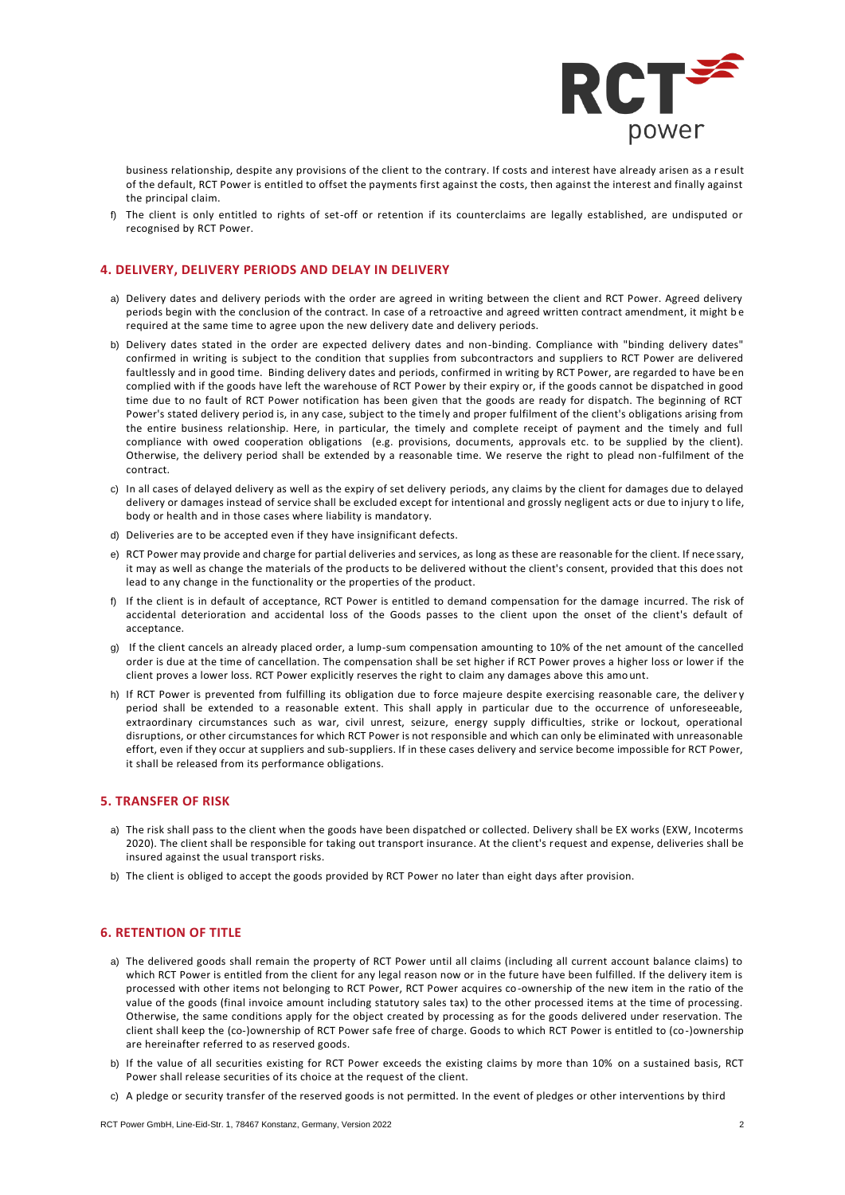

business relationship, despite any provisions of the client to the contrary. If costs and interest have already arisen as a r esult of the default, RCT Power is entitled to offset the payments first against the costs, then against the interest and finally against the principal claim.

The client is only entitled to rights of set-off or retention if its counterclaims are legally established, are undisputed or recognised by RCT Power.

#### **4. DELIVERY, DELIVERY PERIODS AND DELAY IN DELIVERY**

- a) Delivery dates and delivery periods with the order are agreed in writing between the client and RCT Power. Agreed delivery periods begin with the conclusion of the contract. In case of a retroactive and agreed written contract amendment, it might be required at the same time to agree upon the new delivery date and delivery periods.
- b) Delivery dates stated in the order are expected delivery dates and non-binding. Compliance with "binding delivery dates" confirmed in writing is subject to the condition that supplies from subcontractors and suppliers to RCT Power are delivered faultlessly and in good time. Binding delivery dates and periods, confirmed in writing by RCT Power, are regarded to have be en complied with if the goods have left the warehouse of RCT Power by their expiry or, if the goods cannot be dispatched in good time due to no fault of RCT Power notification has been given that the goods are ready for dispatch. The beginning of RCT Power's stated delivery period is, in any case, subject to the timely and proper fulfilment of the client's obligations arising from the entire business relationship. Here, in particular, the timely and complete receipt of payment and the timely and full compliance with owed cooperation obligations (e.g. provisions, documents, approvals etc. to be supplied by the client). Otherwise, the delivery period shall be extended by a reasonable time. We reserve the right to plead non -fulfilment of the contract.
- c) In all cases of delayed delivery as well as the expiry of set delivery periods, any claims by the client for damages due to delayed delivery or damages instead of service shall be excluded except for intentional and grossly negligent acts or due to injury to life, body or health and in those cases where liability is mandatory.
- d) Deliveries are to be accepted even if they have insignificant defects.
- e) RCT Power may provide and charge for partial deliveries and services, as long as these are reasonable for the client. If nece ssary, it may as well as change the materials of the products to be delivered without the client's consent, provided that this does not lead to any change in the functionality or the properties of the product.
- f) If the client is in default of acceptance, RCT Power is entitled to demand compensation for the damage incurred. The risk of accidental deterioration and accidental loss of the Goods passes to the client upon the onset of the client's default of acceptance.
- g) If the client cancels an already placed order, a lump-sum compensation amounting to 10% of the net amount of the cancelled order is due at the time of cancellation. The compensation shall be set higher if RCT Power proves a higher loss or lower if the client proves a lower loss. RCT Power explicitly reserves the right to claim any damages above this amo unt.
- h) If RCT Power is prevented from fulfilling its obligation due to force majeure despite exercising reasonable care, the deliver y period shall be extended to a reasonable extent. This shall apply in particular due to the occurrence of unforeseeable, extraordinary circumstances such as war, civil unrest, seizure, energy supply difficulties, strike or lockout, operational disruptions, or other circumstances for which RCT Power is not responsible and which can only be eliminated with unreasonable effort, even if they occur at suppliers and sub-suppliers. If in these cases delivery and service become impossible for RCT Power, it shall be released from its performance obligations.

# **5. TRANSFER OF RISK**

- a) The risk shall pass to the client when the goods have been dispatched or collected. Delivery shall be EX works (EXW, Incoterms 2020). The client shall be responsible for taking out transport insurance. At the client's request and expense, deliveries shall be insured against the usual transport risks.
- b) The client is obliged to accept the goods provided by RCT Power no later than eight days after provision.

# **6. RETENTION OF TITLE**

- a) The delivered goods shall remain the property of RCT Power until all claims (including all current account balance claims) to which RCT Power is entitled from the client for any legal reason now or in the future have been fulfilled. If the delivery item is processed with other items not belonging to RCT Power, RCT Power acquires co-ownership of the new item in the ratio of the value of the goods (final invoice amount including statutory sales tax) to the other processed items at the time of processing. Otherwise, the same conditions apply for the object created by processing as for the goods delivered under reservation. The client shall keep the (co-)ownership of RCT Power safe free of charge. Goods to which RCT Power is entitled to (co-)ownership are hereinafter referred to as reserved goods.
- b) If the value of all securities existing for RCT Power exceeds the existing claims by more than 10% on a sustained basis, RCT Power shall release securities of its choice at the request of the client.
- c) A pledge or security transfer of the reserved goods is not permitted. In the event of pledges or other interventions by third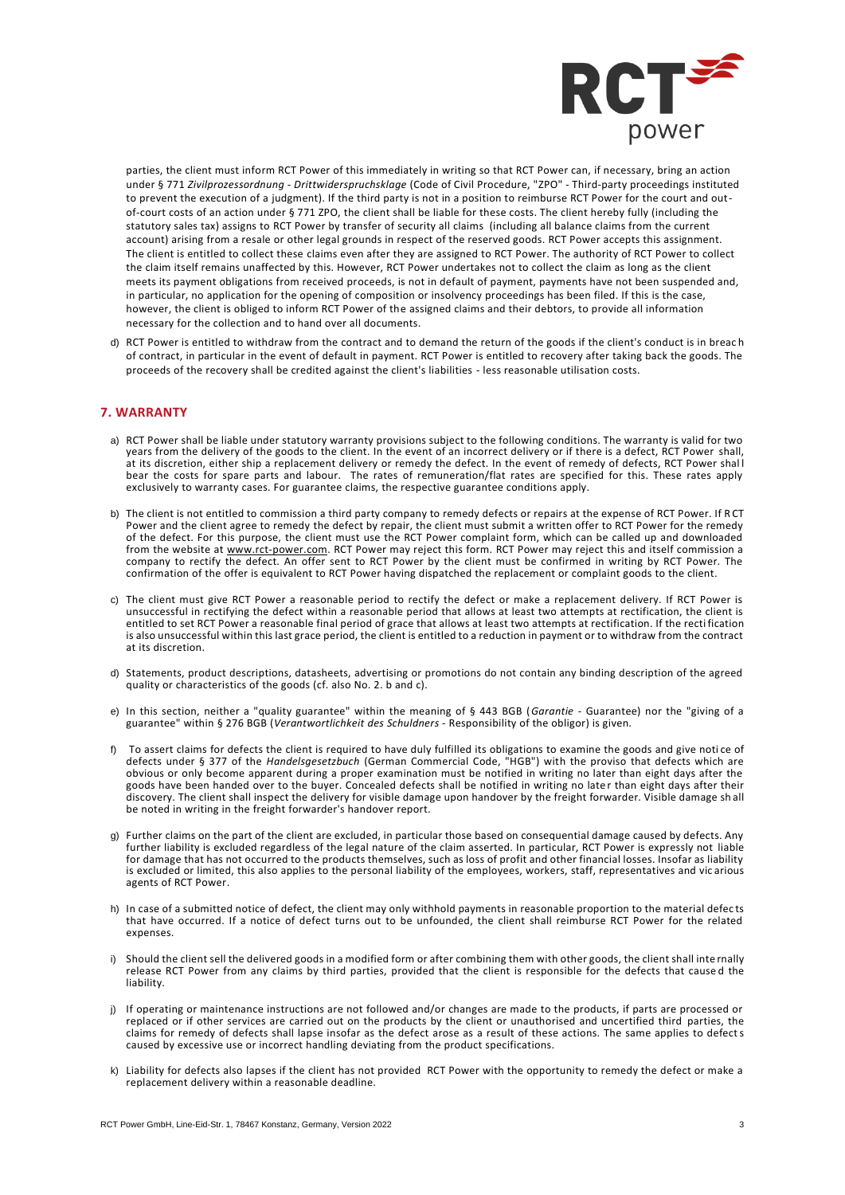

parties, the client must inform RCT Power of this immediately in writing so that RCT Power can, if necessary, bring an action under § 771 *Zivilprozessordnung - Drittwiderspruchsklage* (Code of Civil Procedure, "ZPO" - Third-party proceedings instituted to prevent the execution of a judgment). If the third party is not in a position to reimburse RCT Power for the court and outof-court costs of an action under § 771 ZPO, the client shall be liable for these costs. The client hereby fully (including the statutory sales tax) assigns to RCT Power by transfer of security all claims (including all balance claims from the current account) arising from a resale or other legal grounds in respect of the reserved goods. RCT Power accepts this assignment. The client is entitled to collect these claims even after they are assigned to RCT Power. The authority of RCT Power to collect the claim itself remains unaffected by this. However, RCT Power undertakes not to collect the claim as long as the client meets its payment obligations from received proceeds, is not in default of payment, payments have not been suspended and, in particular, no application for the opening of composition or insolvency proceedings has been filed. If this is the case, however, the client is obliged to inform RCT Power of the assigned claims and their debtors, to provide all information necessary for the collection and to hand over all documents.

d) RCT Power is entitled to withdraw from the contract and to demand the return of the goods if the client's conduct is in breac h of contract, in particular in the event of default in payment. RCT Power is entitled to recovery after taking back the goods. The proceeds of the recovery shall be credited against the client's liabilities - less reasonable utilisation costs.

## **7. WARRANTY**

- a) RCT Power shall be liable under statutory warranty provisions subject to the following conditions. The warranty is valid for two years from the delivery of the goods to the client. In the event of an incorrect delivery or if there is a defect, RCT Power shall, at its discretion, either ship a replacement delivery or remedy the defect. In the event of remedy of defects, RCT Power shal l bear the costs for spare parts and labour. The rates of remuneration/flat rates are specified for this. These rates apply exclusively to warranty cases. For guarantee claims, the respective guarantee conditions apply.
- b) The client is not entitled to commission a third party company to remedy defects or repairs at the expense of RCT Power. If RCT Power and the client agree to remedy the defect by repair, the client must submit a written offer to RCT Power for the remedy of the defect. For this purpose, the client must use the RCT Power complaint form, which can be called up and downloaded from the website at [www.rct-power.com.](http://www.rct-power.com/) RCT Power may reject this form. RCT Power may reject this and itself commission a company to rectify the defect. An offer sent to RCT Power by the client must be confirmed in writing by RCT Power. The confirmation of the offer is equivalent to RCT Power having dispatched the replacement or complaint goods to the client.
- c) The client must give RCT Power a reasonable period to rectify the defect or make a replacement delivery. If RCT Power is unsuccessful in rectifying the defect within a reasonable period that allows at least two attempts at rectification, the client is entitled to set RCT Power a reasonable final period of grace that allows at least two attempts at rectification. If the rectification is also unsuccessful within this last grace period, the client is entitled to a reduction in payment or to withdraw from the contract at its discretion.
- d) Statements, product descriptions, datasheets, advertising or promotions do not contain any binding description of the agreed quality or characteristics of the goods (cf. also No. 2. b and c).
- e) In this section, neither a "quality guarantee" within the meaning of § 443 BGB (*Garantie* Guarantee) nor the "giving of a guarantee" within § 276 BGB (*Verantwortlichkeit des Schuldners* - Responsibility of the obligor) is given.
- f) To assert claims for defects the client is required to have duly fulfilled its obligations to examine the goods and give noti ce of defects under § 377 of the *Handelsgesetzbuch* (German Commercial Code, "HGB") with the proviso that defects which are obvious or only become apparent during a proper examination must be notified in writing no later than eight days after the goods have been handed over to the buyer. Concealed defects shall be notified in writing no late r than eight days after their discovery. The client shall inspect the delivery for visible damage upon handover by the freight forwarder. Visible damage sh all be noted in writing in the freight forwarder's handover report.
- g) Further claims on the part of the client are excluded, in particular those based on consequential damage caused by defects. Any further liability is excluded regardless of the legal nature of the claim asserted. In particular, RCT Power is expressly not liable for damage that has not occurred to the products themselves, such as loss of profit and other financial losses. Insofar as liability is excluded or limited, this also applies to the personal liability of the employees, workers, staff, representatives and vic arious agents of RCT Power.
- h) In case of a submitted notice of defect, the client may only withhold payments in reasonable proportion to the material defec ts that have occurred. If a notice of defect turns out to be unfounded, the client shall reimburse RCT Power for the related expenses.
- i) Should the client sell the delivered goods in a modified form or after combining them with other goods, the client shall inte rnally release RCT Power from any claims by third parties, provided that the client is responsible for the defects that cause d the liability.
- j) If operating or maintenance instructions are not followed and/or changes are made to the products, if parts are processed or replaced or if other services are carried out on the products by the client or unauthorised and uncertified third parties, the claims for remedy of defects shall lapse insofar as the defect arose as a result of these actions. The same applies to defects caused by excessive use or incorrect handling deviating from the product specifications.
- k) Liability for defects also lapses if the client has not provided RCT Power with the opportunity to remedy the defect or make a replacement delivery within a reasonable deadline.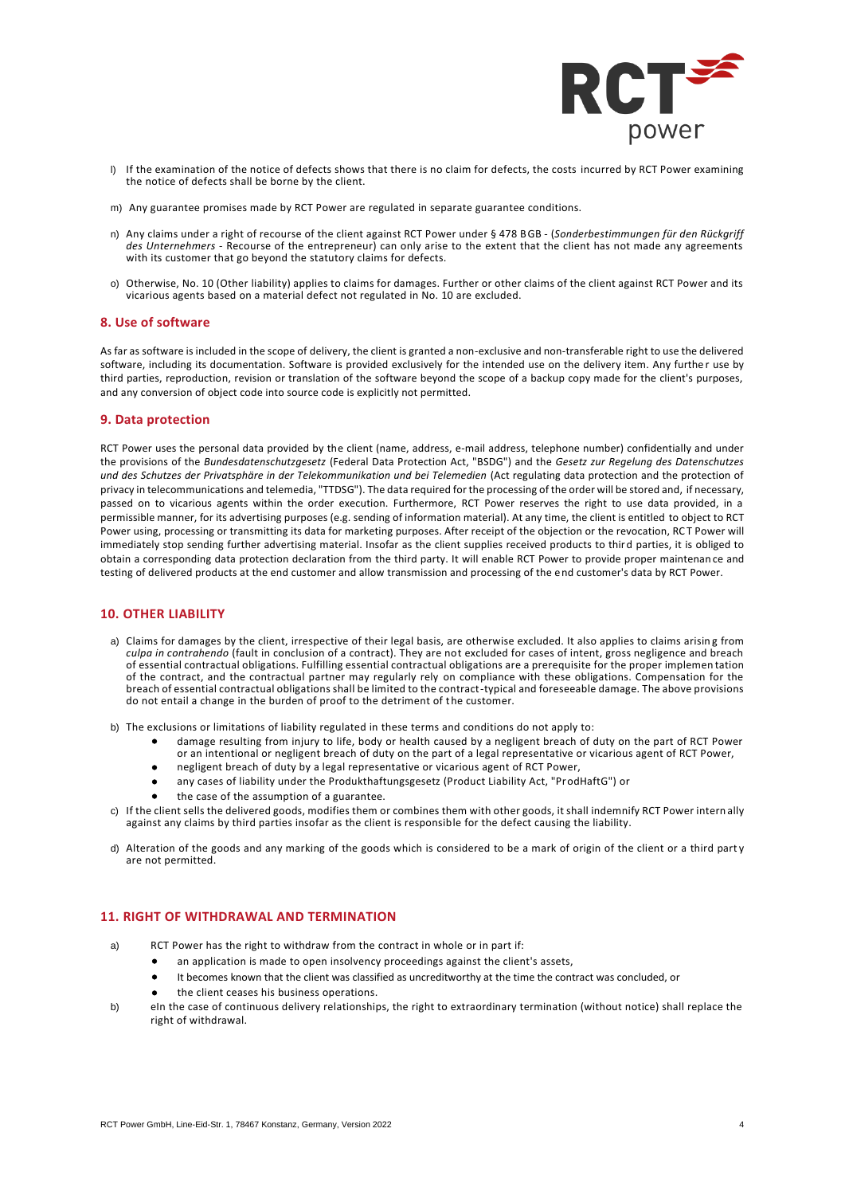

- l) If the examination of the notice of defects shows that there is no claim for defects, the costs incurred by RCT Power examining the notice of defects shall be borne by the client.
- m) Any guarantee promises made by RCT Power are regulated in separate guarantee conditions.
- n) Any claims under a right of recourse of the client against RCT Power under § 478 BGB (*Sonderbestimmungen für den Rückgriff des Unternehmers* - Recourse of the entrepreneur) can only arise to the extent that the client has not made any agreements with its customer that go beyond the statutory claims for defects.
- o) Otherwise, No. 10 (Other liability) applies to claims for damages. Further or other claims of the client against RCT Power and its vicarious agents based on a material defect not regulated in No. 10 are excluded.

#### **8. Use of software**

As far as software is included in the scope of delivery, the client is granted a non-exclusive and non-transferable right to use the delivered software, including its documentation. Software is provided exclusively for the intended use on the delivery item. Any furthe r use by third parties, reproduction, revision or translation of the software beyond the scope of a backup copy made for the client's purposes, and any conversion of object code into source code is explicitly not permitted.

#### **9. Data protection**

RCT Power uses the personal data provided by the client (name, address, e-mail address, telephone number) confidentially and under the provisions of the *Bundesdatenschutzgesetz* (Federal Data Protection Act, "BSDG") and the *Gesetz zur Regelung des Datenschutzes und des Schutzes der Privatsphäre in der Telekommunikation und bei Telemedien* (Act regulating data protection and the protection of privacy in telecommunications and telemedia, "TTDSG"). The data required for the processing of the order will be stored and, if necessary, passed on to vicarious agents within the order execution. Furthermore, RCT Power reserves the right to use data provided, in a permissible manner, for its advertising purposes (e.g. sending of information material). At any time, the client is entitled to object to RCT Power using, processing or transmitting its data for marketing purposes. After receipt of the objection or the revocation, RC T Power will immediately stop sending further advertising material. Insofar as the client supplies received products to third parties, it is obliged to obtain a corresponding data protection declaration from the third party. It will enable RCT Power to provide proper maintenan ce and testing of delivered products at the end customer and allow transmission and processing of the end customer's data by RCT Power.

#### **10. OTHER LIABILITY**

- a) Claims for damages by the client, irrespective of their legal basis, are otherwise excluded. It also applies to claims arising from *culpa in contrahendo* (fault in conclusion of a contract). They are not excluded for cases of intent, gross negligence and breach of essential contractual obligations. Fulfilling essential contractual obligations are a prerequisite for the proper implemen tation of the contract, and the contractual partner may regularly rely on compliance with these obligations. Compensation for the breach of essential contractual obligations shall be limited to the contract-typical and foreseeable damage. The above provisions do not entail a change in the burden of proof to the detriment of the customer.
- b) The exclusions or limitations of liability regulated in these terms and conditions do not apply to:
	- damage resulting from injury to life, body or health caused by a negligent breach of duty on the part of RCT Power or an intentional or negligent breach of duty on the part of a legal representative or vicarious agent of RCT Power,
	- negligent breach of duty by a legal representative or vicarious agent of RCT Power,
	- any cases of liability under the Produkthaftungsgesetz (Product Liability Act, "ProdHaftG") or
	- the case of the assumption of a guarantee.
- c) If the client sells the delivered goods, modifies them or combines them with other goods, it shall indemnify RCT Power intern ally against any claims by third parties insofar as the client is responsible for the defect causing the liability.
- d) Alteration of the goods and any marking of the goods which is considered to be a mark of origin of the client or a third part y are not permitted.

### **11. RIGHT OF WITHDRAWAL AND TERMINATION**

- a) RCT Power has the right to withdraw from the contract in whole or in part if:
	- an application is made to open insolvency proceedings against the client's assets,
	- It becomes known that the client was classified as uncreditworthy at the time the contract was concluded, or
	- the client ceases his business operations.
- b) eIn the case of continuous delivery relationships, the right to extraordinary termination (without notice) shall replace the right of withdrawal.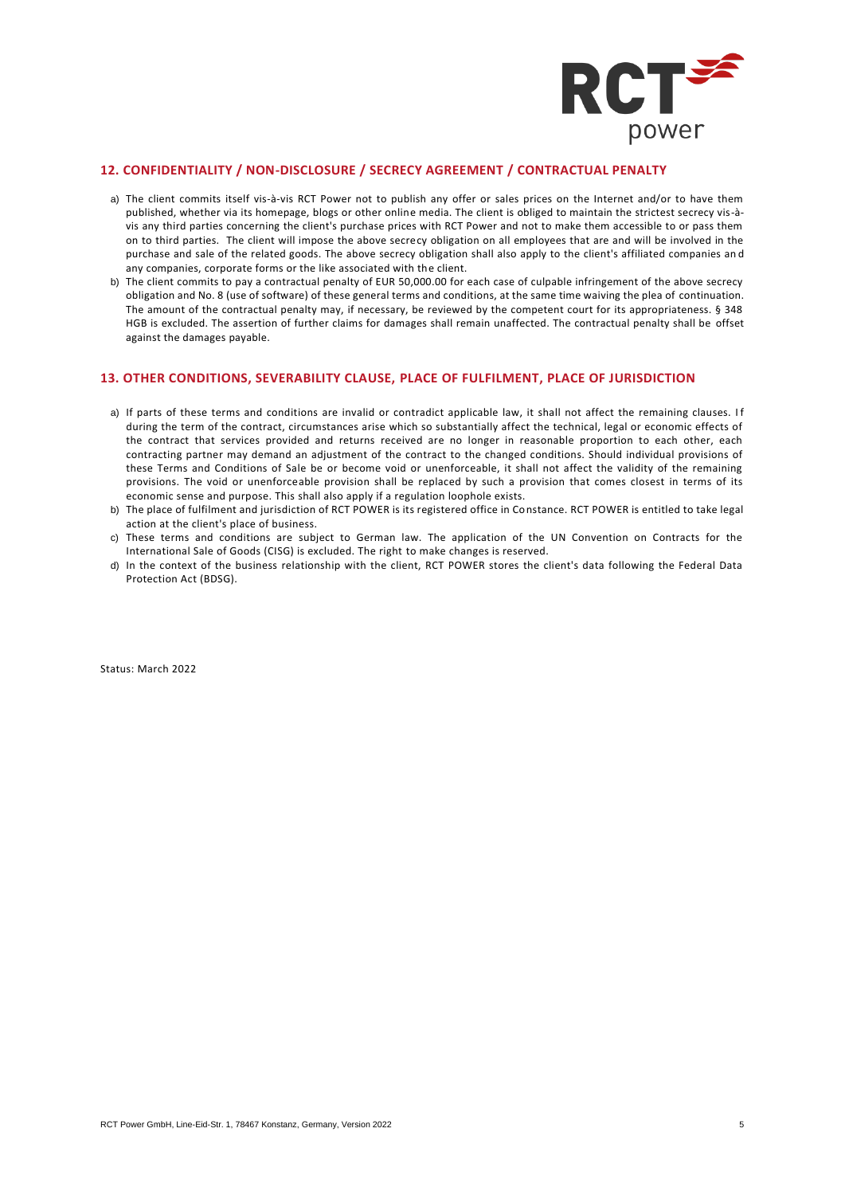

# **12. CONFIDENTIALITY / NON-DISCLOSURE / SECRECY AGREEMENT / CONTRACTUAL PENALTY**

- a) The client commits itself vis-à-vis RCT Power not to publish any offer or sales prices on the Internet and/or to have them published, whether via its homepage, blogs or other online media. The client is obliged to maintain the strictest secrecy vis-àvis any third parties concerning the client's purchase prices with RCT Power and not to make them accessible to or pass them on to third parties. The client will impose the above secrecy obligation on all employees that are and will be involved in the purchase and sale of the related goods. The above secrecy obligation shall also apply to the client's affiliated companies an d any companies, corporate forms or the like associated with the client.
- b) The client commits to pay a contractual penalty of EUR 50,000.00 for each case of culpable infringement of the above secrecy obligation and No. 8 (use of software) of these general terms and conditions, at the same time waiving the plea of continuation. The amount of the contractual penalty may, if necessary, be reviewed by the competent court for its appropriateness. § 348 HGB is excluded. The assertion of further claims for damages shall remain unaffected. The contractual penalty shall be offset against the damages payable.

#### **13. OTHER CONDITIONS, SEVERABILITY CLAUSE, PLACE OF FULFILMENT, PLACE OF JURISDICTION**

- a) If parts of these terms and conditions are invalid or contradict applicable law, it shall not affect the remaining clauses. I f during the term of the contract, circumstances arise which so substantially affect the technical, legal or economic effects of the contract that services provided and returns received are no longer in reasonable proportion to each other, each contracting partner may demand an adjustment of the contract to the changed conditions. Should individual provisions of these Terms and Conditions of Sale be or become void or unenforceable, it shall not affect the validity of the remaining provisions. The void or unenforceable provision shall be replaced by such a provision that comes closest in terms of its economic sense and purpose. This shall also apply if a regulation loophole exists.
- b) The place of fulfilment and jurisdiction of RCT POWER is its registered office in Constance. RCT POWER is entitled to take legal action at the client's place of business.
- c) These terms and conditions are subject to German law. The application of the UN Convention on Contracts for the International Sale of Goods (CISG) is excluded. The right to make changes is reserved.
- d) In the context of the business relationship with the client, RCT POWER stores the client's data following the Federal Data Protection Act (BDSG).

Status: March 2022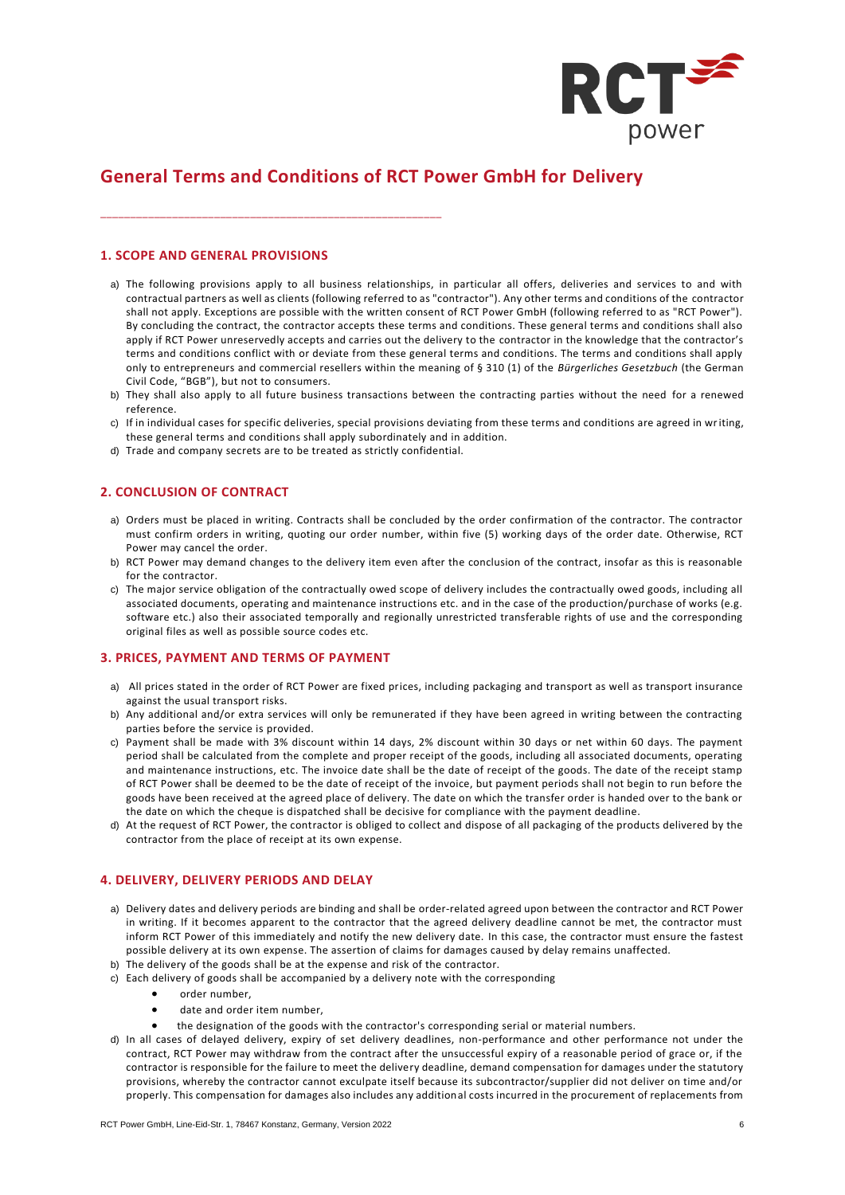

# **General Terms and Conditions of RCT Power GmbH for Delivery**

# **1. SCOPE AND GENERAL PROVISIONS**

- a) The following provisions apply to all business relationships, in particular all offers, deliveries and services to and with contractual partners as well as clients (following referred to as "contractor"). Any other terms and conditions of the contractor shall not apply. Exceptions are possible with the written consent of RCT Power GmbH (following referred to as "RCT Power"). By concluding the contract, the contractor accepts these terms and conditions. These general terms and conditions shall also apply if RCT Power unreservedly accepts and carries out the delivery to the contractor in the knowledge that the contractor's terms and conditions conflict with or deviate from these general terms and conditions. The terms and conditions shall apply only to entrepreneurs and commercial resellers within the meaning of § 310 (1) of the *Bürgerliches Gesetzbuch* (the German Civil Code, "BGB"), but not to consumers.
- b) They shall also apply to all future business transactions between the contracting parties without the need for a renewed reference.
- c) If in individual cases for specific deliveries, special provisions deviating from these terms and conditions are agreed in writing, these general terms and conditions shall apply subordinately and in addition.
- d) Trade and company secrets are to be treated as strictly confidential.

\_\_\_\_\_\_\_\_\_\_\_\_\_\_\_\_\_\_\_\_\_\_\_\_\_\_\_\_\_\_\_\_\_\_\_\_\_\_\_\_\_\_\_\_\_\_\_\_\_\_\_\_\_\_\_\_\_

# **2. CONCLUSION OF CONTRACT**

- a) Orders must be placed in writing. Contracts shall be concluded by the order confirmation of the contractor. The contractor must confirm orders in writing, quoting our order number, within five (5) working days of the order date. Otherwise, RCT Power may cancel the order.
- b) RCT Power may demand changes to the delivery item even after the conclusion of the contract, insofar as this is reasonable for the contractor.
- c) The major service obligation of the contractually owed scope of delivery includes the contractually owed goods, including all associated documents, operating and maintenance instructions etc. and in the case of the production/purchase of works (e.g. software etc.) also their associated temporally and regionally unrestricted transferable rights of use and the corresponding original files as well as possible source codes etc.

## **3. PRICES, PAYMENT AND TERMS OF PAYMENT**

- a) All prices stated in the order of RCT Power are fixed prices, including packaging and transport as well as transport insurance against the usual transport risks.
- b) Any additional and/or extra services will only be remunerated if they have been agreed in writing between the contracting parties before the service is provided.
- c) Payment shall be made with 3% discount within 14 days, 2% discount within 30 days or net within 60 days. The payment period shall be calculated from the complete and proper receipt of the goods, including all associated documents, operating and maintenance instructions, etc. The invoice date shall be the date of receipt of the goods. The date of the receipt stamp of RCT Power shall be deemed to be the date of receipt of the invoice, but payment periods shall not begin to run before the goods have been received at the agreed place of delivery. The date on which the transfer order is handed over to the bank or the date on which the cheque is dispatched shall be decisive for compliance with the payment deadline.
- d) At the request of RCT Power, the contractor is obliged to collect and dispose of all packaging of the products delivered by the contractor from the place of receipt at its own expense.

## **4. DELIVERY, DELIVERY PERIODS AND DELAY**

- a) Delivery dates and delivery periods are binding and shall be order-related agreed upon between the contractor and RCT Power in writing. If it becomes apparent to the contractor that the agreed delivery deadline cannot be met, the contractor must inform RCT Power of this immediately and notify the new delivery date. In this case, the contractor must ensure the fastest possible delivery at its own expense. The assertion of claims for damages caused by delay remains unaffected.
- b) The delivery of the goods shall be at the expense and risk of the contractor.
- c) Each delivery of goods shall be accompanied by a delivery note with the corresponding
	- order number,
	- date and order item number,
	- the designation of the goods with the contractor's corresponding serial or material numbers.
- d) In all cases of delayed delivery, expiry of set delivery deadlines, non-performance and other performance not under the contract, RCT Power may withdraw from the contract after the unsuccessful expiry of a reasonable period of grace or, if the contractor is responsible for the failure to meet the delivery deadline, demand compensation for damages under the statutory provisions, whereby the contractor cannot exculpate itself because its subcontractor/supplier did not deliver on time and/or properly. This compensation for damages also includes any additional costs incurred in the procurement of replacements from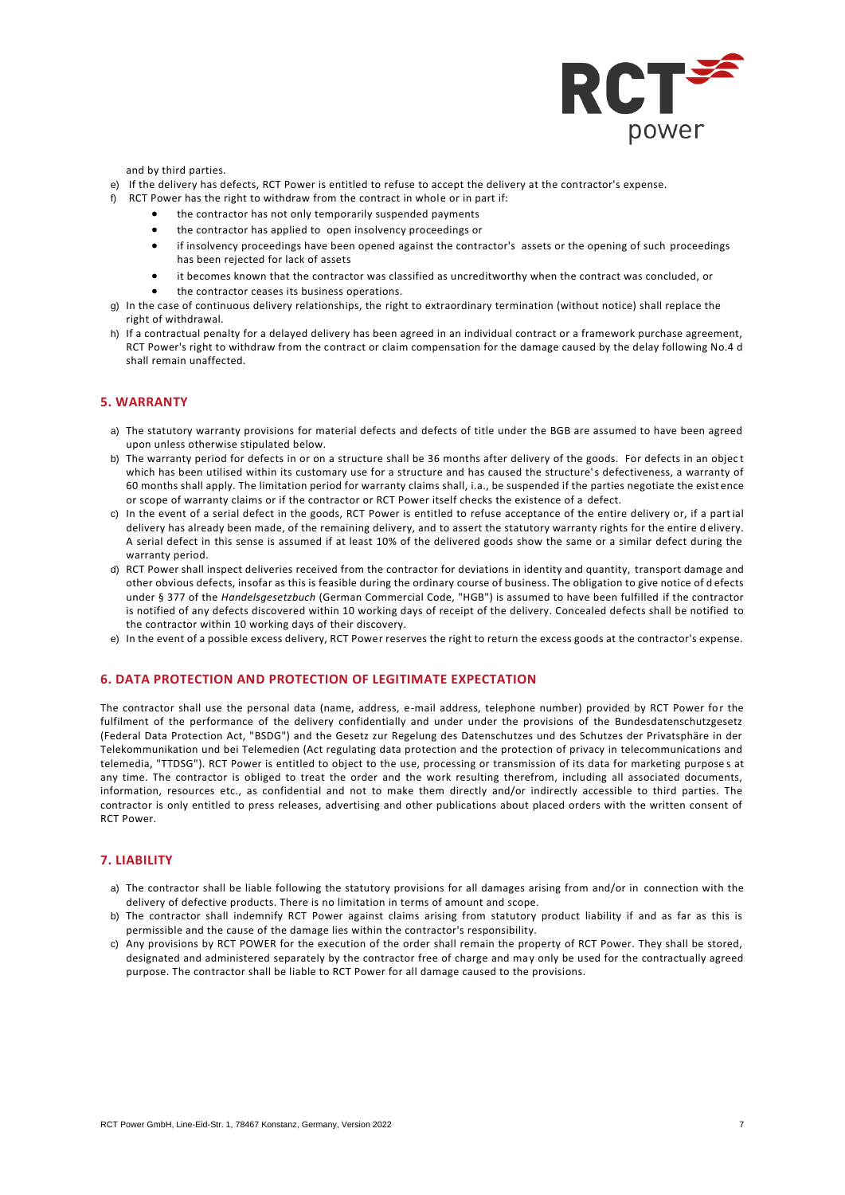

and by third parties.

- e) If the delivery has defects, RCT Power is entitled to refuse to accept the delivery at the contractor's expense.
- f) RCT Power has the right to withdraw from the contract in whole or in part if:
	- the contractor has not only temporarily suspended payments
	- the contractor has applied to open insolvency proceedings or
	- if insolvency proceedings have been opened against the contractor's assets or the opening of such proceedings has been rejected for lack of assets
	- it becomes known that the contractor was classified as uncreditworthy when the contract was concluded, or
	- the contractor ceases its business operations.
- g) In the case of continuous delivery relationships, the right to extraordinary termination (without notice) shall replace the right of withdrawal.
- h) If a contractual penalty for a delayed delivery has been agreed in an individual contract or a framework purchase agreement, RCT Power's right to withdraw from the contract or claim compensation for the damage caused by the delay following No.4 d shall remain unaffected.

## **5. WARRANTY**

- a) The statutory warranty provisions for material defects and defects of title under the BGB are assumed to have been agreed upon unless otherwise stipulated below.
- b) The warranty period for defects in or on a structure shall be 36 months after delivery of the goods. For defects in an objec t which has been utilised within its customary use for a structure and has caused the structure's defectiveness, a warranty of 60 months shall apply. The limitation period for warranty claims shall, i.a., be suspended if the parties negotiate the exist ence or scope of warranty claims or if the contractor or RCT Power itself checks the existence of a defect.
- c) In the event of a serial defect in the goods, RCT Power is entitled to refuse acceptance of the entire delivery or, if a partial delivery has already been made, of the remaining delivery, and to assert the statutory warranty rights for the entire d elivery. A serial defect in this sense is assumed if at least 10% of the delivered goods show the same or a similar defect during the warranty period.
- d) RCT Power shall inspect deliveries received from the contractor for deviations in identity and quantity, transport damage and other obvious defects, insofar as this is feasible during the ordinary course of business. The obligation to give notice of d efects under § 377 of the *Handelsgesetzbuch* (German Commercial Code, "HGB") is assumed to have been fulfilled if the contractor is notified of any defects discovered within 10 working days of receipt of the delivery. Concealed defects shall be notified to the contractor within 10 working days of their discovery.
- e) In the event of a possible excess delivery, RCT Power reserves the right to return the excess goods at the contractor's expense.

# **6. DATA PROTECTION AND PROTECTION OF LEGITIMATE EXPECTATION**

The contractor shall use the personal data (name, address, e-mail address, telephone number) provided by RCT Power for the fulfilment of the performance of the delivery confidentially and under under the provisions of the Bundesdatenschutzgesetz (Federal Data Protection Act, "BSDG") and the Gesetz zur Regelung des Datenschutzes und des Schutzes der Privatsphäre in der Telekommunikation und bei Telemedien (Act regulating data protection and the protection of privacy in telecommunications and telemedia, "TTDSG"). RCT Power is entitled to object to the use, processing or transmission of its data for marketing purpose s at any time. The contractor is obliged to treat the order and the work resulting therefrom, including all associated documents, information, resources etc., as confidential and not to make them directly and/or indirectly accessible to third parties. The contractor is only entitled to press releases, advertising and other publications about placed orders with the written consent of RCT Power.

#### **7. LIABILITY**

- a) The contractor shall be liable following the statutory provisions for all damages arising from and/or in connection with the delivery of defective products. There is no limitation in terms of amount and scope.
- b) The contractor shall indemnify RCT Power against claims arising from statutory product liability if and as far as this is permissible and the cause of the damage lies within the contractor's responsibility.
- c) Any provisions by RCT POWER for the execution of the order shall remain the property of RCT Power. They shall be stored, designated and administered separately by the contractor free of charge and may only be used for the contractually agreed purpose. The contractor shall be liable to RCT Power for all damage caused to the provisions.